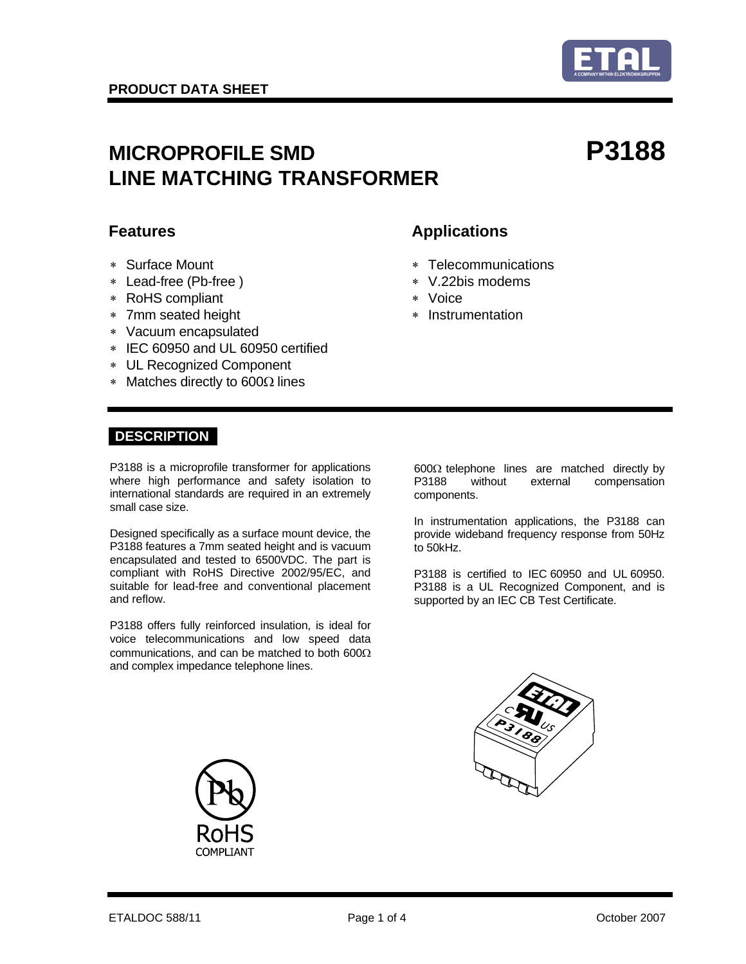

# MICROPROFILE SMD **P3188 LINE MATCHING TRANSFORMER**

- 
- ∗ Lead-free (Pb-free ) ∗ V.22bis modems
- ∗ RoHS compliant ∗ Voice
- ∗ 7mm seated height ∗ Instrumentation
- ∗ Vacuum encapsulated
- ∗ IEC 60950 and UL 60950 certified
- ∗ UL Recognized Component
- ∗ Matches directly to 600Ω lines

## **Features Applications**

- ∗ Surface Mount ∗ Telecommunications
	-
	-
	-

## **DESCRIPTION**

P3188 is a microprofile transformer for applications where high performance and safety isolation to international standards are required in an extremely small case size.

Designed specifically as a surface mount device, the P3188 features a 7mm seated height and is vacuum encapsulated and tested to 6500VDC. The part is compliant with RoHS Directive 2002/95/EC, and suitable for lead-free and conventional placement and reflow.

P3188 offers fully reinforced insulation, is ideal for voice telecommunications and low speed data communications, and can be matched to both 600Ω and complex impedance telephone lines.

600Ω telephone lines are matched directly by P3188 without external compensation components.

In instrumentation applications, the P3188 can provide wideband frequency response from 50Hz to 50kHz.

P3188 is certified to IEC 60950 and UL 60950. P3188 is a UL Recognized Component, and is supported by an IEC CB Test Certificate.



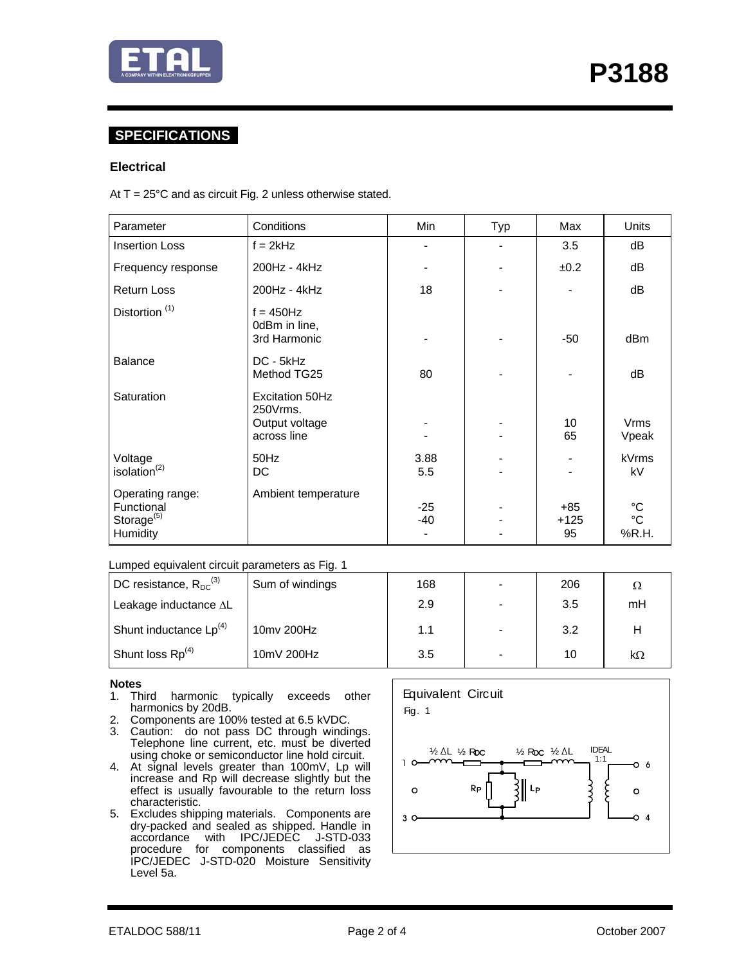

## **SPECIFICATIONS**

### **Electrical**

At  $T = 25^{\circ}$ C and as circuit Fig. 2 unless otherwise stated.

| Parameter                                                   | Conditions                                                   | Min          | Typ | Max                   | Units                            |
|-------------------------------------------------------------|--------------------------------------------------------------|--------------|-----|-----------------------|----------------------------------|
| <b>Insertion Loss</b>                                       | $f = 2kHz$                                                   |              |     | 3.5                   | dB                               |
| Frequency response                                          | 200Hz - 4kHz                                                 |              |     | ±0.2                  | dB                               |
| <b>Return Loss</b>                                          | 200Hz - 4kHz                                                 | 18           |     |                       | dB                               |
| Distortion <sup>(1)</sup>                                   | $f = 450$ Hz<br>0dBm in line,<br>3rd Harmonic                |              |     | $-50$                 | dB <sub>m</sub>                  |
| <b>Balance</b>                                              | DC - 5kHz<br>Method TG25                                     | 80           |     |                       | dB                               |
| Saturation                                                  | Excitation 50Hz<br>250Vrms.<br>Output voltage<br>across line |              |     | 10<br>65              | Vrms<br>Vpeak                    |
| Voltage<br>isolation $^{(2)}$                               | 50Hz<br>DC                                                   | 3.88<br>5.5  |     |                       | kVrms<br>kV                      |
| Operating range:<br>Functional<br>Storage $(5)$<br>Humidity | Ambient temperature                                          | $-25$<br>-40 |     | $+85$<br>$+125$<br>95 | °C<br>$^{\circ}{\rm C}$<br>%R.H. |

### Lumped equivalent circuit parameters as Fig. 1

| DC resistance, $R_{DC}^{(3)}$      | Sum of windings | 168 | 206 | Ω         |
|------------------------------------|-----------------|-----|-----|-----------|
| Leakage inductance AL              |                 | 2.9 | 3.5 | mH        |
| Shunt inductance Lp <sup>(4)</sup> | 10mv 200Hz      | 1.1 | 3.2 | н         |
| Shunt loss Rp <sup>(4)</sup>       | 10mV 200Hz      | 3.5 | 10  | $k\Omega$ |

### **Notes**

- 1. Third harmonic typically exceeds other harmonics by 20dB.
- 2. Components are 100% tested at 6.5 kVDC.
- 3. Caution: do not pass DC through windings. Telephone line current, etc. must be diverted using choke or semiconductor line hold circuit.
- 4. At signal levels greater than 100mV, Lp will increase and Rp will decrease slightly but the effect is usually favourable to the return loss characteristic.
- 5. Excludes shipping materials. Components are dry-packed and sealed as shipped. Handle in accordance with IPC/JEDEC J-STD-033 procedure for components classified as IPC/JEDEC J-STD-020 Moisture Sensitivity Level 5a.

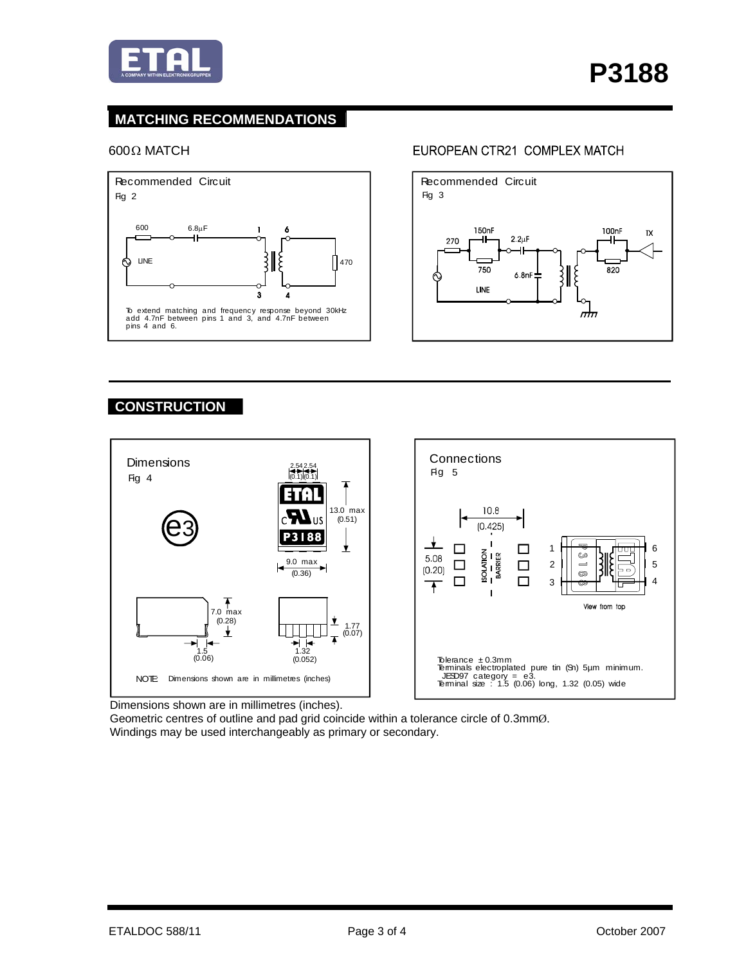

## **MATCHING RECOMMENDATIONS**

### $600$ Ω MATCH



## EUROPEAN CTR21 COMPLEX MATCH



## **CONSTRUCTION**



Dimensions shown are in millimetres (inches).

Geometric centres of outline and pad grid coincide within a tolerance circle of 0.3mmØ. Windings may be used interchangeably as primary or secondary.